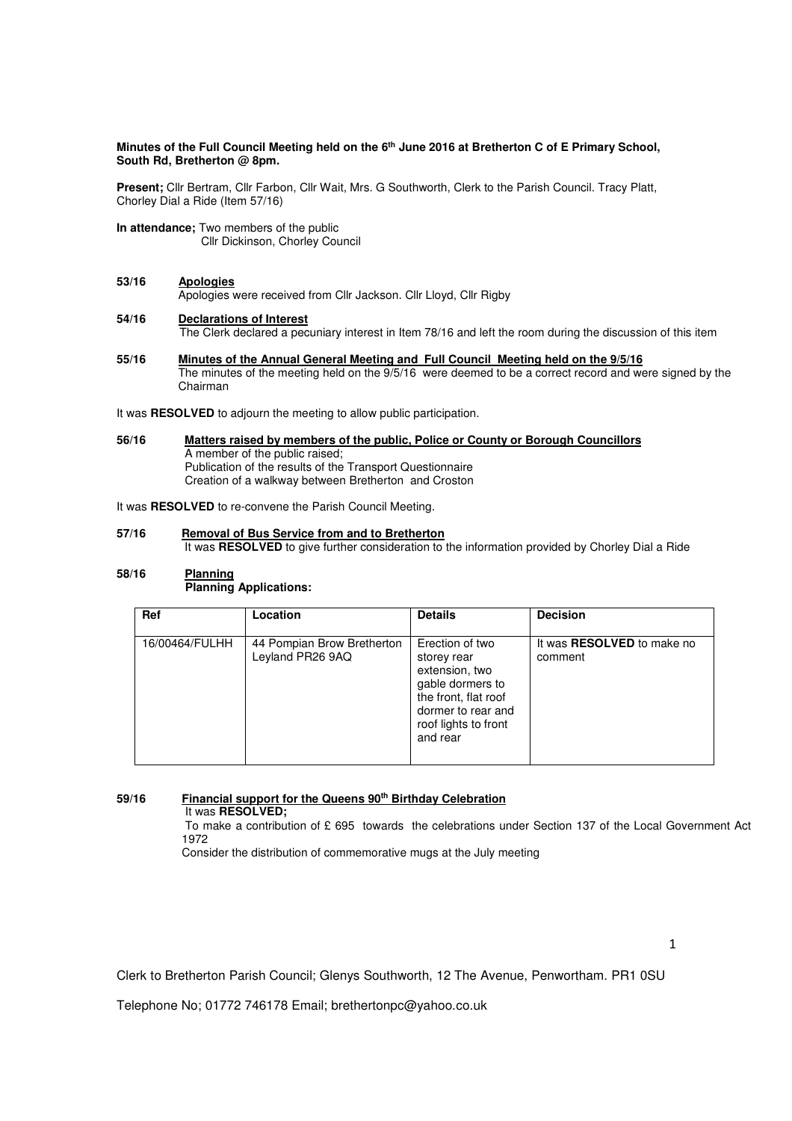## **Minutes of the Full Council Meeting held on the 6th June 2016 at Bretherton C of E Primary School, South Rd, Bretherton @ 8pm.**

**Present;** Cllr Bertram, Cllr Farbon, Cllr Wait, Mrs. G Southworth, Clerk to the Parish Council. Tracy Platt, Chorley Dial a Ride (Item 57/16)

**In attendance;** Two members of the public Cllr Dickinson, Chorley Council

## **53/16 Apologies**

Apologies were received from Cllr Jackson. Cllr Lloyd, Cllr Rigby

# **54/16 Declarations of Interest**

The Clerk declared a pecuniary interest in Item 78/16 and left the room during the discussion of this item

**55/16 Minutes of the Annual General Meeting and Full Council Meeting held on the 9/5/16**  The minutes of the meeting held on the 9/5/16 were deemed to be a correct record and were signed by the Chairman

It was **RESOLVED** to adjourn the meeting to allow public participation.

**56/16 Matters raised by members of the public, Police or County or Borough Councillors**  A member of the public raised; Publication of the results of the Transport Questionnaire Creation of a walkway between Bretherton and Croston

It was **RESOLVED** to re-convene the Parish Council Meeting.

**57/16 Removal of Bus Service from and to Bretherton**  It was **RESOLVED** to give further consideration to the information provided by Chorley Dial a Ride

# **58/16 Planning Planning Applications:**

| Ref            | Location                                       | <b>Details</b>                                                                                                                                         | <b>Decision</b>                              |
|----------------|------------------------------------------------|--------------------------------------------------------------------------------------------------------------------------------------------------------|----------------------------------------------|
| 16/00464/FULHH | 44 Pompian Brow Bretherton<br>Leyland PR26 9AQ | Erection of two<br>storey rear<br>extension, two<br>gable dormers to<br>the front, flat roof<br>dormer to rear and<br>roof lights to front<br>and rear | It was <b>RESOLVED</b> to make no<br>comment |

### **59/16 Financial support for the Queens 90th Birthday Celebration** It was **RESOLVED;**

To make a contribution of £ 695 towards the celebrations under Section 137 of the Local Government Act 1972

Consider the distribution of commemorative mugs at the July meeting

Clerk to Bretherton Parish Council; Glenys Southworth, 12 The Avenue, Penwortham. PR1 0SU

Telephone No; 01772 746178 Email; brethertonpc@yahoo.co.uk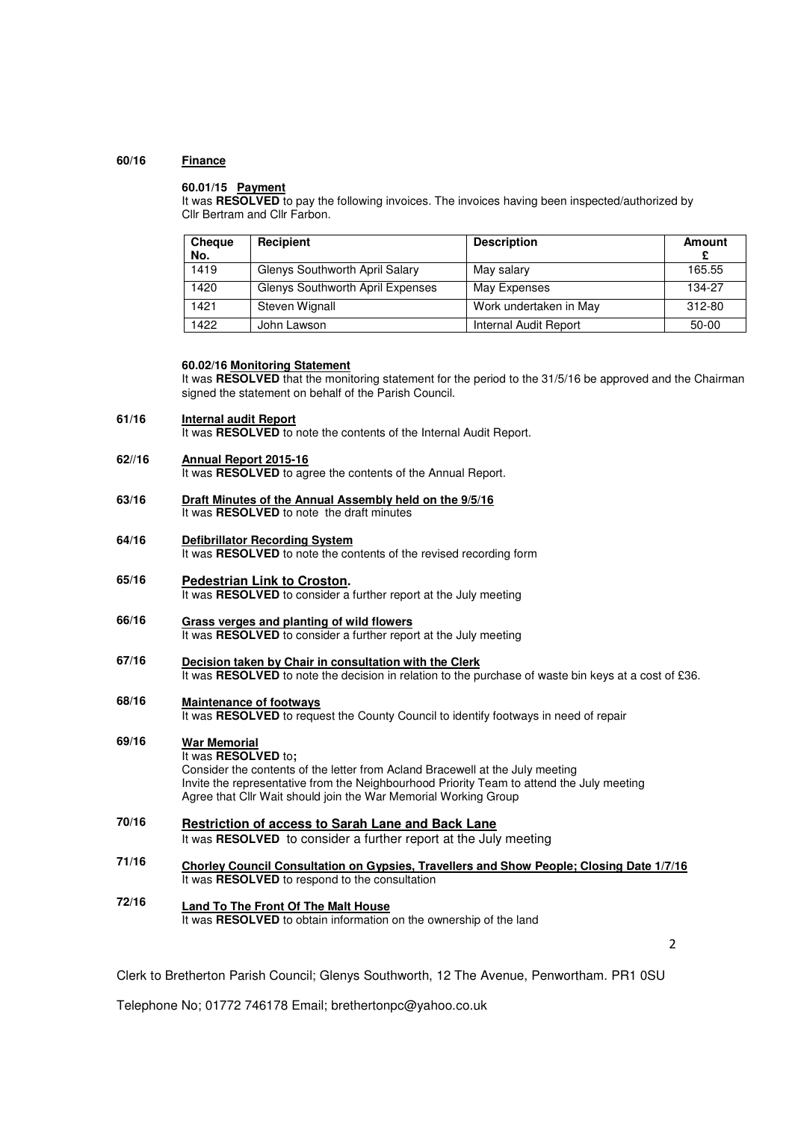## **60/16 Finance**

### **60.01/15 Payment**

It was RESOLVED to pay the following invoices. The invoices having been inspected/authorized by Cllr Bertram and Cllr Farbon.

| <b>Cheque</b><br>No. | Recipient                               | <b>Description</b>     | Amount |
|----------------------|-----------------------------------------|------------------------|--------|
| 1419                 | Glenys Southworth April Salary          | May salary             | 165.55 |
| 1420                 | <b>Glenys Southworth April Expenses</b> | May Expenses           | 134-27 |
| 1421                 | <b>Steven Wignall</b>                   | Work undertaken in May | 312-80 |
| 1422                 | John Lawson                             | Internal Audit Report  | 50-00  |

## **60.02/16 Monitoring Statement**

It was RESOLVED that the monitoring statement for the period to the 31/5/16 be approved and the Chairman signed the statement on behalf of the Parish Council.

### **61/16 Internal audit Report** It was **RESOLVED** to note the contents of the Internal Audit Report.

#### **62//16 Annual Report 2015-16**

It was **RESOLVED** to agree the contents of the Annual Report.

- **63/16 Draft Minutes of the Annual Assembly held on the 9/5/16**  It was **RESOLVED** to note the draft minutes
- **64/16 Defibrillator Recording System**  It was **RESOLVED** to note the contents of the revised recording form
- **65/16 Pedestrian Link to Croston.**  It was **RESOLVED** to consider a further report at the July meeting
- **66/16 Grass verges and planting of wild flowers**  It was **RESOLVED** to consider a further report at the July meeting
- **67/16 Decision taken by Chair in consultation with the Clerk**  It was RESOLVED to note the decision in relation to the purchase of waste bin keys at a cost of £36.

### **68/16 Maintenance of footways**

It was **RESOLVED** to request the County Council to identify footways in need of repair

# **War Memorial**

**69/16** 

# It was **RESOLVED** to**;**

Consider the contents of the letter from Acland Bracewell at the July meeting Invite the representative from the Neighbourhood Priority Team to attend the July meeting Agree that Cllr Wait should join the War Memorial Working Group

- **70/16 Restriction of access to Sarah Lane and Back Lane**  It was **RESOLVED** to consider a further report at the July meeting
- **71/16 Chorley Council Consultation on Gypsies, Travellers and Show People; Closing Date 1/7/16**  It was **RESOLVED** to respond to the consultation
- **72/16 Land To The Front Of The Malt House**  It was **RESOLVED** to obtain information on the ownership of the land

 $\overline{\phantom{a}}$ 

Clerk to Bretherton Parish Council; Glenys Southworth, 12 The Avenue, Penwortham. PR1 0SU

Telephone No; 01772 746178 Email; brethertonpc@yahoo.co.uk